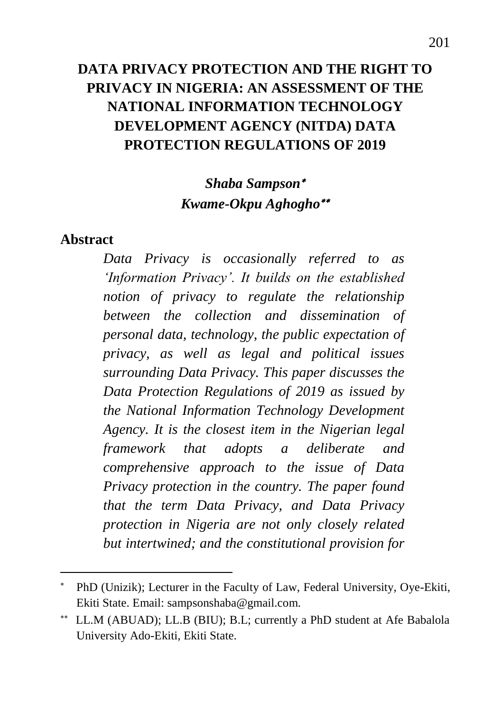# **DATA PRIVACY PROTECTION AND THE RIGHT TO PRIVACY IN NIGERIA: AN ASSESSMENT OF THE NATIONAL INFORMATION TECHNOLOGY DEVELOPMENT AGENCY (NITDA) DATA PROTECTION REGULATIONS OF 2019**

## *Shaba Sampson Kwame-Okpu Aghogho*

#### **Abstract**

 $\overline{a}$ 

*Data Privacy is occasionally referred to as 'Information Privacy'. It builds on the established notion of privacy to regulate the relationship between the collection and dissemination of personal data, technology, the public expectation of privacy, as well as legal and political issues surrounding Data Privacy. This paper discusses the Data Protection Regulations of 2019 as issued by the National Information Technology Development Agency. It is the closest item in the Nigerian legal framework that adopts a deliberate and comprehensive approach to the issue of Data Privacy protection in the country. The paper found that the term Data Privacy, and Data Privacy protection in Nigeria are not only closely related but intertwined; and the constitutional provision for* 

PhD (Unizik); Lecturer in the Faculty of Law, Federal University, Oye-Ekiti, Ekiti State. Email: sampsonshaba@gmail.com.

LL.M (ABUAD); LL.B (BIU); B.L; currently a PhD student at Afe Babalola University Ado-Ekiti, Ekiti State.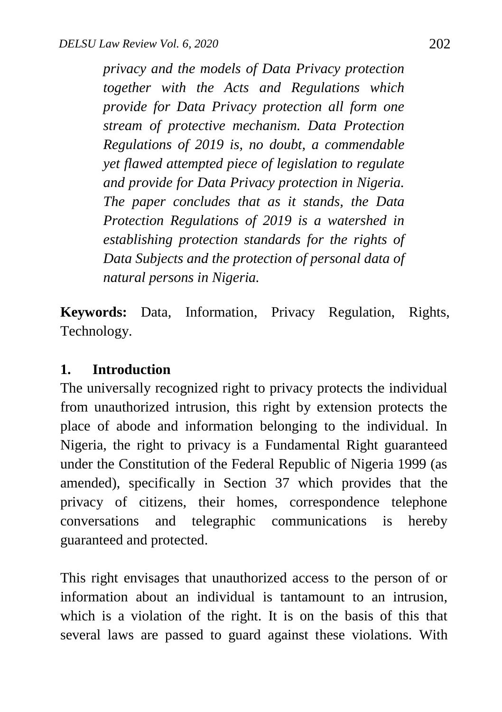*privacy and the models of Data Privacy protection together with the Acts and Regulations which provide for Data Privacy protection all form one stream of protective mechanism. Data Protection Regulations of 2019 is, no doubt, a commendable yet flawed attempted piece of legislation to regulate and provide for Data Privacy protection in Nigeria. The paper concludes that as it stands, the Data Protection Regulations of 2019 is a watershed in establishing protection standards for the rights of Data Subjects and the protection of personal data of natural persons in Nigeria.* 

**Keywords:** Data, Information, Privacy Regulation, Rights, Technology.

#### **1. Introduction**

The universally recognized right to privacy protects the individual from unauthorized intrusion, this right by extension protects the place of abode and information belonging to the individual. In Nigeria, the right to privacy is a Fundamental Right guaranteed under the Constitution of the Federal Republic of Nigeria 1999 (as amended), specifically in Section 37 which provides that the privacy of citizens, their homes, correspondence telephone conversations and telegraphic communications is hereby guaranteed and protected.

This right envisages that unauthorized access to the person of or information about an individual is tantamount to an intrusion, which is a violation of the right. It is on the basis of this that several laws are passed to guard against these violations. With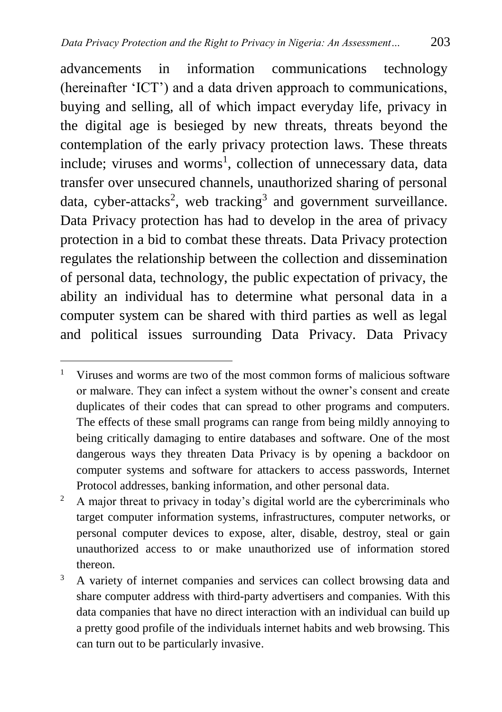advancements in information communications technology (hereinafter 'ICT') and a data driven approach to communications, buying and selling, all of which impact everyday life, privacy in the digital age is besieged by new threats, threats beyond the contemplation of the early privacy protection laws. These threats include; viruses and worms<sup>1</sup>, collection of unnecessary data, data transfer over unsecured channels, unauthorized sharing of personal data, cyber-attacks<sup>2</sup>, web tracking<sup>3</sup> and government surveillance. Data Privacy protection has had to develop in the area of privacy protection in a bid to combat these threats. Data Privacy protection regulates the relationship between the collection and dissemination of personal data, technology, the public expectation of privacy, the ability an individual has to determine what personal data in a computer system can be shared with third parties as well as legal and political issues surrounding Data Privacy. Data Privacy

 $\overline{a}$ <sup>1</sup> Viruses and worms are two of the most common forms of malicious software or malware. They can infect a system without the owner's consent and create duplicates of their codes that can spread to other programs and computers. The effects of these small programs can range from being mildly annoying to being critically damaging to entire databases and software. One of the most dangerous ways they threaten Data Privacy is by opening a backdoor on computer systems and software for attackers to access passwords, Internet Protocol addresses, banking information, and other personal data.

<sup>&</sup>lt;sup>2</sup> A major threat to privacy in today's digital world are the cybercriminals who target computer information systems, infrastructures, computer networks, or personal computer devices to expose, alter, disable, destroy, steal or gain unauthorized access to or make unauthorized use of information stored thereon.

<sup>&</sup>lt;sup>3</sup> A variety of internet companies and services can collect browsing data and share computer address with third-party advertisers and companies. With this data companies that have no direct interaction with an individual can build up a pretty good profile of the individuals internet habits and web browsing. This can turn out to be particularly invasive.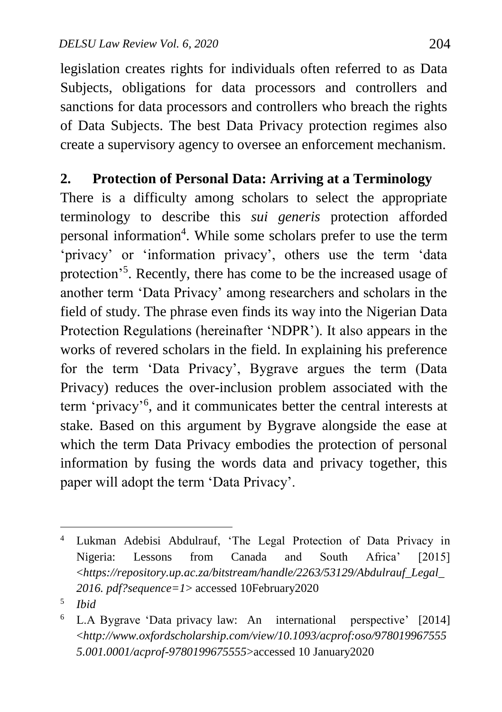legislation creates rights for individuals often referred to as Data Subjects, obligations for data processors and controllers and sanctions for data processors and controllers who breach the rights of Data Subjects. The best Data Privacy protection regimes also create a supervisory agency to oversee an enforcement mechanism.

#### **2. Protection of Personal Data: Arriving at a Terminology**

There is a difficulty among scholars to select the appropriate terminology to describe this *sui generis* protection afforded personal information<sup>4</sup>. While some scholars prefer to use the term 'privacy' or 'information privacy', others use the term 'data protection'<sup>5</sup>. Recently, there has come to be the increased usage of another term 'Data Privacy' among researchers and scholars in the field of study. The phrase even finds its way into the Nigerian Data Protection Regulations (hereinafter 'NDPR'). It also appears in the works of revered scholars in the field. In explaining his preference for the term 'Data Privacy', Bygrave argues the term (Data Privacy) reduces the over-inclusion problem associated with the term 'privacy'<sup>6</sup> , and it communicates better the central interests at stake. Based on this argument by Bygrave alongside the ease at which the term Data Privacy embodies the protection of personal information by fusing the words data and privacy together, this paper will adopt the term 'Data Privacy'.

 $\overline{a}$ Lukman Adebisi Abdulrauf, 'The Legal Protection of Data Privacy in Nigeria: Lessons from Canada and South Africa' [2015] <*https://repository.up.ac.za/bitstream/handle/2263/53129/Abdulrauf\_Legal\_ 2016. pdf?sequence=1*> accessed 10February2020

<sup>5</sup> *Ibid*

<sup>6</sup> L.A Bygrave 'Data privacy law: An international perspective' [2014] <*http://www.oxfordscholarship.com/view/10.1093/acprof:oso/978019967555 5.001.0001/acprof-9780199675555*>accessed 10 January2020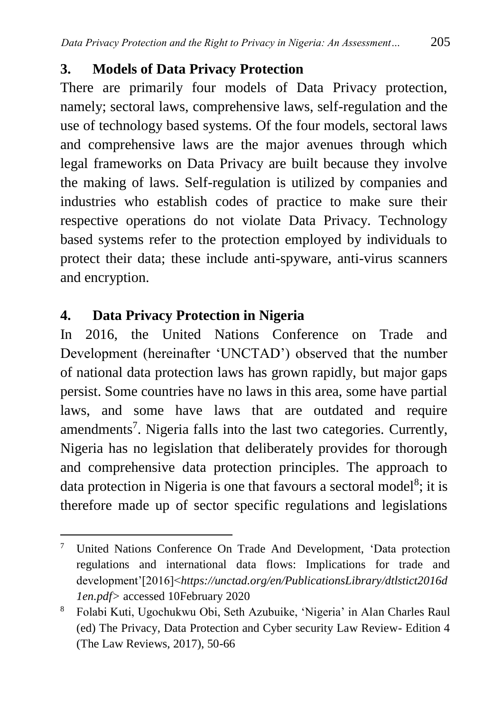#### **3. Models of Data Privacy Protection**

There are primarily four models of Data Privacy protection, namely; sectoral laws, comprehensive laws, self-regulation and the use of technology based systems. Of the four models, sectoral laws and comprehensive laws are the major avenues through which legal frameworks on Data Privacy are built because they involve the making of laws. Self-regulation is utilized by companies and industries who establish codes of practice to make sure their respective operations do not violate Data Privacy. Technology based systems refer to the protection employed by individuals to protect their data; these include anti-spyware, anti-virus scanners and encryption.

## **4. Data Privacy Protection in Nigeria**

In 2016, the United Nations Conference on Trade and Development (hereinafter 'UNCTAD') observed that the number of national data protection laws has grown rapidly, but major gaps persist. Some countries have no laws in this area, some have partial laws, and some have laws that are outdated and require amendments<sup>7</sup>. Nigeria falls into the last two categories. Currently, Nigeria has no legislation that deliberately provides for thorough and comprehensive data protection principles. The approach to data protection in Nigeria is one that favours a sectoral model<sup>8</sup>; it is therefore made up of sector specific regulations and legislations

 $\overline{a}$ <sup>7</sup> United Nations Conference On Trade And Development, 'Data protection regulations and international data flows: Implications for trade and development'[2016]<*https://unctad.org/en/PublicationsLibrary/dtlstict2016d 1en.pdf>* accessed 10February 2020

<sup>8</sup> Folabi Kuti, Ugochukwu Obi, Seth Azubuike, 'Nigeria' in Alan Charles Raul (ed) The Privacy, Data Protection and Cyber security Law Review- Edition 4 (The Law Reviews, 2017), 50-66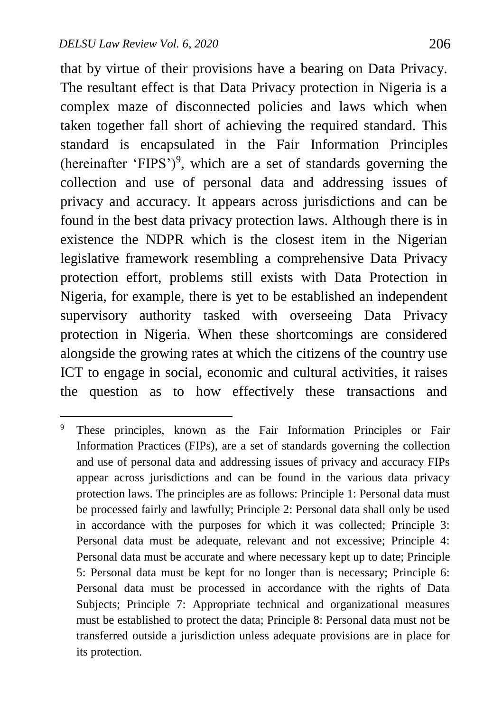$\overline{a}$ 

that by virtue of their provisions have a bearing on Data Privacy. The resultant effect is that Data Privacy protection in Nigeria is a complex maze of disconnected policies and laws which when taken together fall short of achieving the required standard. This standard is encapsulated in the Fair Information Principles (hereinafter 'FIPS')<sup>9</sup>, which are a set of standards governing the collection and use of personal data and addressing issues of privacy and accuracy. It appears across jurisdictions and can be found in the best data privacy protection laws. Although there is in existence the NDPR which is the closest item in the Nigerian legislative framework resembling a comprehensive Data Privacy protection effort, problems still exists with Data Protection in Nigeria, for example, there is yet to be established an independent supervisory authority tasked with overseeing Data Privacy protection in Nigeria. When these shortcomings are considered alongside the growing rates at which the citizens of the country use ICT to engage in social, economic and cultural activities, it raises the question as to how effectively these transactions and

<sup>&</sup>lt;sup>9</sup> These principles, known as the Fair Information Principles or Fair Information Practices (FIPs), are a set of standards governing the collection and use of personal data and addressing issues of privacy and accuracy FIPs appear across jurisdictions and can be found in the various data privacy protection laws. The principles are as follows: Principle 1: Personal data must be processed fairly and lawfully; Principle 2: Personal data shall only be used in accordance with the purposes for which it was collected; Principle 3: Personal data must be adequate, relevant and not excessive; Principle 4: Personal data must be accurate and where necessary kept up to date; Principle 5: Personal data must be kept for no longer than is necessary; Principle 6: Personal data must be processed in accordance with the rights of Data Subjects; Principle 7: Appropriate technical and organizational measures must be established to protect the data; Principle 8: Personal data must not be transferred outside a jurisdiction unless adequate provisions are in place for its protection.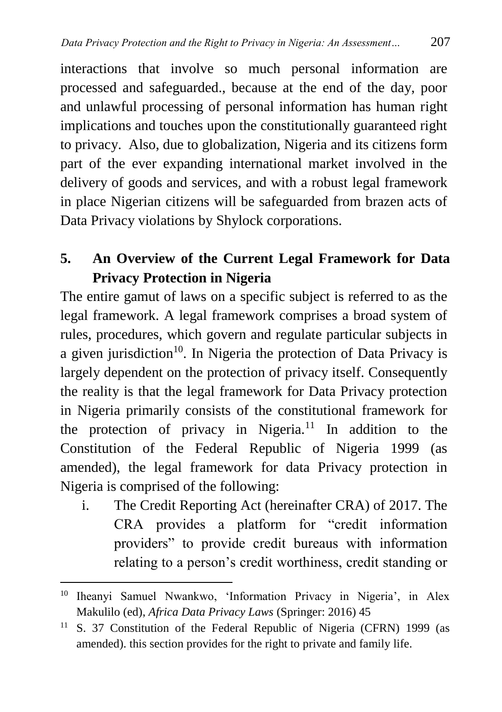interactions that involve so much personal information are processed and safeguarded., because at the end of the day, poor and unlawful processing of personal information has human right implications and touches upon the constitutionally guaranteed right to privacy. Also, due to globalization, Nigeria and its citizens form part of the ever expanding international market involved in the delivery of goods and services, and with a robust legal framework in place Nigerian citizens will be safeguarded from brazen acts of Data Privacy violations by Shylock corporations.

**5. An Overview of the Current Legal Framework for Data Privacy Protection in Nigeria** 

The entire gamut of laws on a specific subject is referred to as the legal framework. A legal framework comprises a broad system of rules, procedures, which govern and regulate particular subjects in a given jurisdiction<sup>10</sup>. In Nigeria the protection of Data Privacy is largely dependent on the protection of privacy itself. Consequently the reality is that the legal framework for Data Privacy protection in Nigeria primarily consists of the constitutional framework for the protection of privacy in Nigeria.<sup>11</sup> In addition to the Constitution of the Federal Republic of Nigeria 1999 (as amended), the legal framework for data Privacy protection in Nigeria is comprised of the following:

i. The Credit Reporting Act (hereinafter CRA) of 2017. The CRA provides a platform for "credit information providers" to provide credit bureaus with information relating to a person's credit worthiness, credit standing or

 $\overline{a}$ <sup>10</sup> Iheanyi Samuel Nwankwo, 'Information Privacy in Nigeria', in Alex Makulilo (ed), *Africa Data Privacy Laws* (Springer: 2016) 45

<sup>&</sup>lt;sup>11</sup> S. 37 Constitution of the Federal Republic of Nigeria (CFRN) 1999 (as amended). this section provides for the right to private and family life.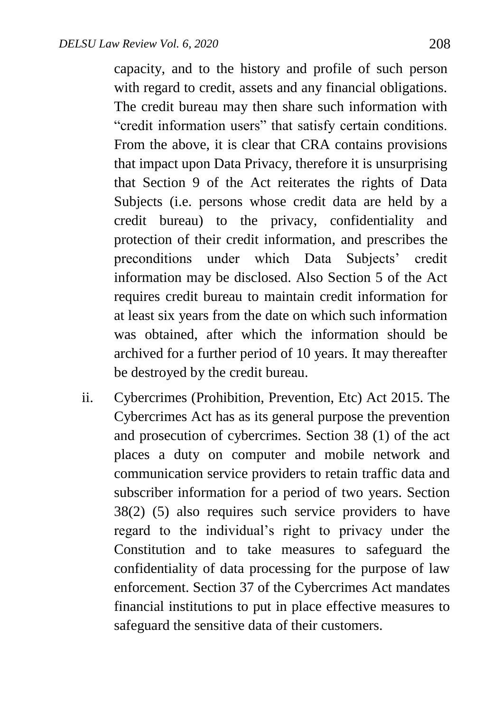capacity, and to the history and profile of such person with regard to credit, assets and any financial obligations. The credit bureau may then share such information with "credit information users" that satisfy certain conditions. From the above, it is clear that CRA contains provisions that impact upon Data Privacy, therefore it is unsurprising that Section 9 of the Act reiterates the rights of Data Subjects (i.e. persons whose credit data are held by a credit bureau) to the privacy, confidentiality and protection of their credit information, and prescribes the preconditions under which Data Subjects' credit information may be disclosed. Also Section 5 of the Act requires credit bureau to maintain credit information for at least six years from the date on which such information was obtained, after which the information should be archived for a further period of 10 years. It may thereafter be destroyed by the credit bureau.

ii. Cybercrimes (Prohibition, Prevention, Etc) Act 2015. The Cybercrimes Act has as its general purpose the prevention and prosecution of cybercrimes. Section 38 (1) of the act places a duty on computer and mobile network and communication service providers to retain traffic data and subscriber information for a period of two years. Section 38(2) (5) also requires such service providers to have regard to the individual's right to privacy under the Constitution and to take measures to safeguard the confidentiality of data processing for the purpose of law enforcement. Section 37 of the Cybercrimes Act mandates financial institutions to put in place effective measures to safeguard the sensitive data of their customers.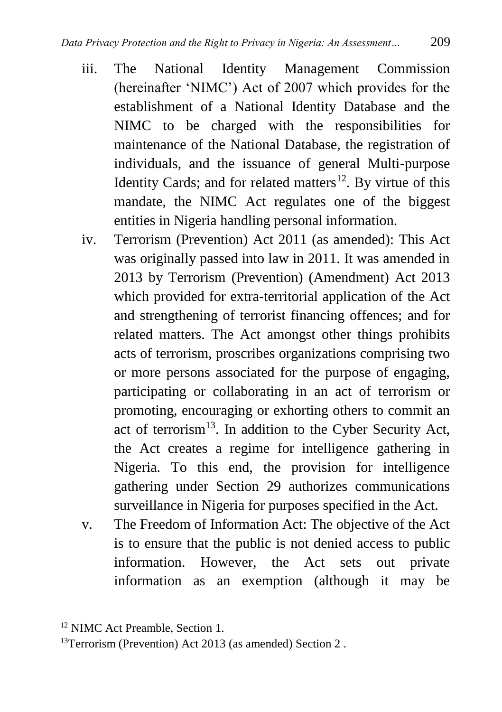- iii. The National Identity Management Commission (hereinafter 'NIMC') Act of 2007 which provides for the establishment of a National Identity Database and the NIMC to be charged with the responsibilities for maintenance of the National Database, the registration of individuals, and the issuance of general Multi-purpose Identity Cards; and for related matters<sup>12</sup>. By virtue of this mandate, the NIMC Act regulates one of the biggest entities in Nigeria handling personal information.
- iv. Terrorism (Prevention) Act 2011 (as amended): This Act was originally passed into law in 2011. It was amended in 2013 by Terrorism (Prevention) (Amendment) Act 2013 which provided for extra-territorial application of the Act and strengthening of terrorist financing offences; and for related matters. The Act amongst other things prohibits acts of terrorism, proscribes organizations comprising two or more persons associated for the purpose of engaging, participating or collaborating in an act of terrorism or promoting, encouraging or exhorting others to commit an act of terrorism<sup>13</sup>. In addition to the Cyber Security Act, the Act creates a regime for intelligence gathering in Nigeria. To this end, the provision for intelligence gathering under Section 29 authorizes communications surveillance in Nigeria for purposes specified in the Act.
- v. The Freedom of Information Act: The objective of the Act is to ensure that the public is not denied access to public information. However, the Act sets out private information as an exemption (although it may be

<sup>12</sup> NIMC Act Preamble, Section 1.

<sup>&</sup>lt;sup>13</sup>Terrorism (Prevention) Act 2013 (as amended) Section 2.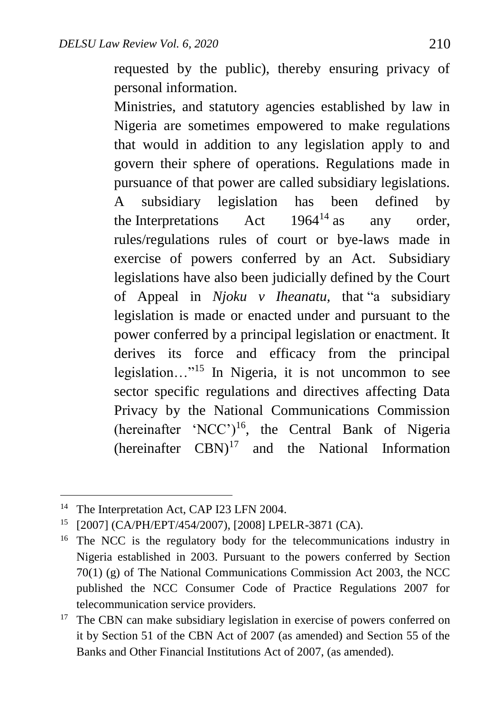requested by the public), thereby ensuring privacy of personal information.

Ministries, and statutory agencies established by law in Nigeria are sometimes empowered to make regulations that would in addition to any legislation apply to and govern their sphere of operations. Regulations made in pursuance of that power are called subsidiary legislations. A subsidiary legislation has been defined by the Interpretations  $\det$  1964<sup>14</sup> as any order, rules/regulations rules of court or bye-laws made in exercise of powers conferred by an Act. Subsidiary legislations have also been judicially defined by the Court of Appeal in *Njoku v Iheanatu,* that "a subsidiary legislation is made or enacted under and pursuant to the power conferred by a principal legislation or enactment. It derives its force and efficacy from the principal legislation…" 15 In Nigeria, it is not uncommon to see sector specific regulations and directives affecting Data Privacy by the National Communications Commission (hereinafter 'NCC')<sup>16</sup>, the Central Bank of Nigeria (hereinafter  $CBN$ )<sup>17</sup> and the National Information

<sup>&</sup>lt;sup>14</sup> The Interpretation Act, CAP I23 LFN 2004.

<sup>15</sup> [2007] (CA/PH/EPT/454/2007), [2008] LPELR-3871 (CA).

<sup>&</sup>lt;sup>16</sup> The NCC is the regulatory body for the telecommunications industry in Nigeria established in 2003. Pursuant to the powers conferred by Section 70(1) (g) of The National Communications Commission Act 2003, the NCC published the NCC Consumer Code of Practice Regulations 2007 for telecommunication service providers.

<sup>&</sup>lt;sup>17</sup> The CBN can make subsidiary legislation in exercise of powers conferred on it by Section 51 of the CBN Act of 2007 (as amended) and Section 55 of the Banks and Other Financial Institutions Act of 2007, (as amended).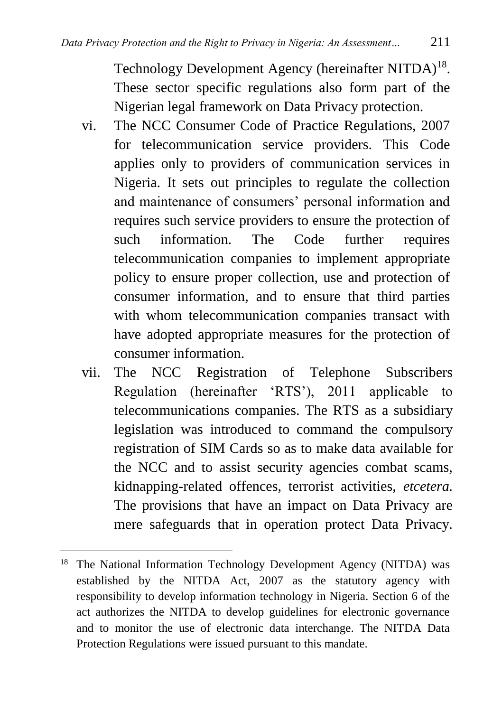Technology Development Agency (hereinafter NITDA)<sup>18</sup>. These sector specific regulations also form part of the Nigerian legal framework on Data Privacy protection.

- vi. The NCC Consumer Code of Practice Regulations, 2007 for telecommunication service providers. This Code applies only to providers of communication services in Nigeria. It sets out principles to regulate the collection and maintenance of consumers' personal information and requires such service providers to ensure the protection of such information. The Code further requires telecommunication companies to implement appropriate policy to ensure proper collection, use and protection of consumer information, and to ensure that third parties with whom telecommunication companies transact with have adopted appropriate measures for the protection of consumer information.
- vii. The NCC Registration of Telephone Subscribers Regulation (hereinafter 'RTS'), 2011 applicable to telecommunications companies. The RTS as a subsidiary legislation was introduced to command the compulsory registration of SIM Cards so as to make data available for the NCC and to assist security agencies combat scams, kidnapping-related offences, terrorist activities, *etcetera.*  The provisions that have an impact on Data Privacy are mere safeguards that in operation protect Data Privacy.

 $\overline{a}$ <sup>18</sup> The National Information Technology Development Agency (NITDA) was established by the NITDA Act, 2007 as the statutory agency with responsibility to develop information technology in Nigeria. Section 6 of the act authorizes the NITDA to develop guidelines for electronic governance and to monitor the use of electronic data interchange. The NITDA Data Protection Regulations were issued pursuant to this mandate.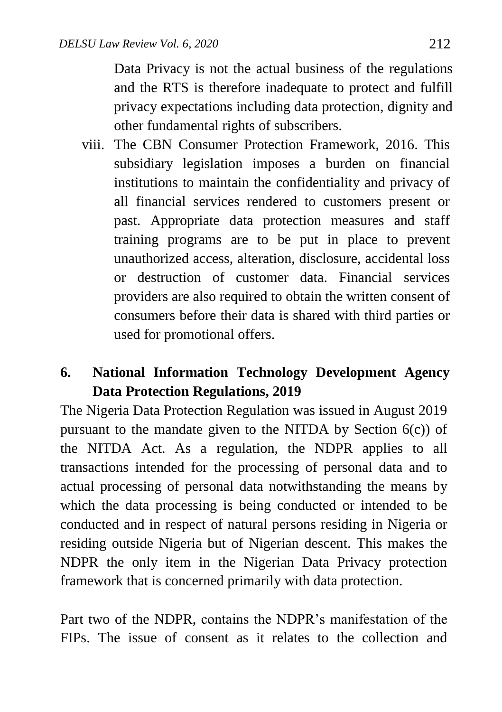Data Privacy is not the actual business of the regulations and the RTS is therefore inadequate to protect and fulfill privacy expectations including data protection, dignity and other fundamental rights of subscribers.

viii. The CBN Consumer Protection Framework, 2016. This subsidiary legislation imposes a burden on financial institutions to maintain the confidentiality and privacy of all financial services rendered to customers present or past. Appropriate data protection measures and staff training programs are to be put in place to prevent unauthorized access, alteration, disclosure, accidental loss or destruction of customer data. Financial services providers are also required to obtain the written consent of consumers before their data is shared with third parties or used for promotional offers.

#### **6. National Information Technology Development Agency Data Protection Regulations, 2019**

The Nigeria Data Protection Regulation was issued in August 2019 pursuant to the mandate given to the NITDA by Section  $6(c)$  of the NITDA Act. As a regulation, the NDPR applies to all transactions intended for the processing of personal data and to actual processing of personal data notwithstanding the means by which the data processing is being conducted or intended to be conducted and in respect of natural persons residing in Nigeria or residing outside Nigeria but of Nigerian descent. This makes the NDPR the only item in the Nigerian Data Privacy protection framework that is concerned primarily with data protection.

Part two of the NDPR, contains the NDPR's manifestation of the FIPs. The issue of consent as it relates to the collection and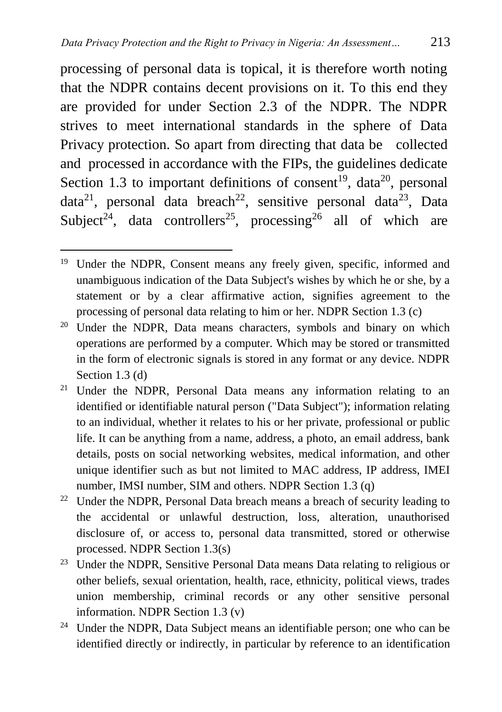processing of personal data is topical, it is therefore worth noting that the NDPR contains decent provisions on it. To this end they are provided for under Section 2.3 of the NDPR. The NDPR strives to meet international standards in the sphere of Data Privacy protection. So apart from directing that data be collected and processed in accordance with the FIPs, the guidelines dedicate Section 1.3 to important definitions of consent<sup>19</sup>, data<sup>20</sup>, personal data<sup>21</sup>, personal data breach<sup>22</sup>, sensitive personal data<sup>23</sup>, Data Subject<sup>24</sup>, data controllers<sup>25</sup>, processing<sup>26</sup> all of which are

- <sup>23</sup> Under the NDPR, Sensitive Personal Data means Data relating to religious or other beliefs, sexual orientation, health, race, ethnicity, political views, trades union membership, criminal records or any other sensitive personal information. NDPR Section 1.3 (v)
- <sup>24</sup> Under the NDPR, Data Subject means an identifiable person; one who can be identified directly or indirectly, in particular by reference to an identification

<sup>&</sup>lt;sup>19</sup> Under the NDPR, Consent means any freely given, specific, informed and unambiguous indication of the Data Subject's wishes by which he or she, by a statement or by a clear affirmative action, signifies agreement to the processing of personal data relating to him or her. NDPR Section 1.3 (c)

<sup>&</sup>lt;sup>20</sup> Under the NDPR, Data means characters, symbols and binary on which operations are performed by a computer. Which may be stored or transmitted in the form of electronic signals is stored in any format or any device. NDPR Section 1.3 (d)

<sup>&</sup>lt;sup>21</sup> Under the NDPR, Personal Data means any information relating to an identified or identifiable natural person ("Data Subject"); information relating to an individual, whether it relates to his or her private, professional or public life. It can be anything from a name, address, a photo, an email address, bank details, posts on social networking websites, medical information, and other unique identifier such as but not limited to MAC address, IP address, IMEI number, IMSI number, SIM and others. NDPR Section 1.3 (q)

<sup>&</sup>lt;sup>22</sup> Under the NDPR, Personal Data breach means a breach of security leading to the accidental or unlawful destruction, loss, alteration, unauthorised disclosure of, or access to, personal data transmitted, stored or otherwise processed. NDPR Section 1.3(s)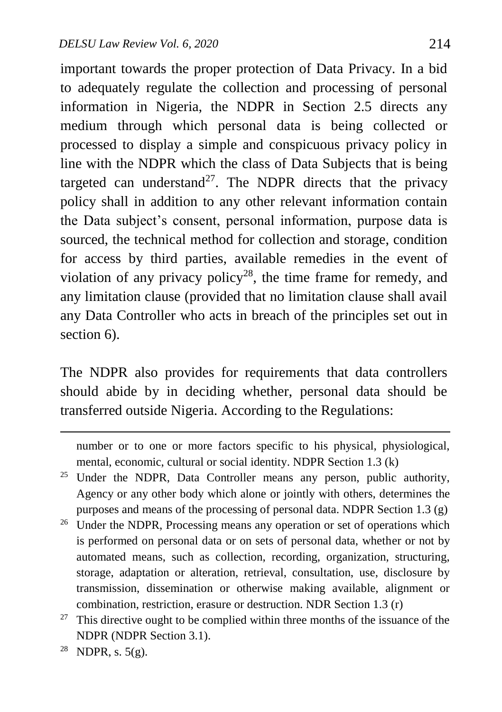important towards the proper protection of Data Privacy. In a bid to adequately regulate the collection and processing of personal information in Nigeria, the NDPR in Section 2.5 directs any medium through which personal data is being collected or processed to display a simple and conspicuous privacy policy in line with the NDPR which the class of Data Subjects that is being targeted can understand<sup>27</sup>. The NDPR directs that the privacy policy shall in addition to any other relevant information contain the Data subject's consent, personal information, purpose data is sourced, the technical method for collection and storage, condition for access by third parties, available remedies in the event of violation of any privacy policy<sup>28</sup>, the time frame for remedy, and any limitation clause (provided that no limitation clause shall avail any Data Controller who acts in breach of the principles set out in section 6).

The NDPR also provides for requirements that data controllers should abide by in deciding whether, personal data should be transferred outside Nigeria. According to the Regulations:

number or to one or more factors specific to his physical, physiological, mental, economic, cultural or social identity. NDPR Section 1.3 (k)

- <sup>25</sup> Under the NDPR, Data Controller means any person, public authority, Agency or any other body which alone or jointly with others, determines the purposes and means of the processing of personal data. NDPR Section 1.3 (g)
- <sup>26</sup> Under the NDPR, Processing means any operation or set of operations which is performed on personal data or on sets of personal data, whether or not by automated means, such as collection, recording, organization, structuring, storage, adaptation or alteration, retrieval, consultation, use, disclosure by transmission, dissemination or otherwise making available, alignment or combination, restriction, erasure or destruction. NDR Section 1.3 (r)
- $27$  This directive ought to be complied within three months of the issuance of the NDPR (NDPR Section 3.1).
- <sup>28</sup> NDPR, s.  $5(g)$ .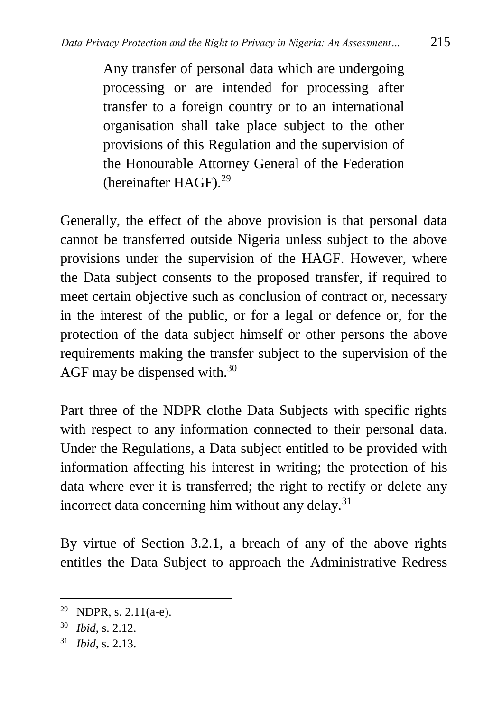Any transfer of personal data which are undergoing processing or are intended for processing after transfer to a foreign country or to an international organisation shall take place subject to the other provisions of this Regulation and the supervision of the Honourable Attorney General of the Federation (hereinafter HAGF).<sup>29</sup>

Generally, the effect of the above provision is that personal data cannot be transferred outside Nigeria unless subject to the above provisions under the supervision of the HAGF. However, where the Data subject consents to the proposed transfer, if required to meet certain objective such as conclusion of contract or, necessary in the interest of the public, or for a legal or defence or, for the protection of the data subject himself or other persons the above requirements making the transfer subject to the supervision of the AGF may be dispensed with.<sup>30</sup>

Part three of the NDPR clothe Data Subjects with specific rights with respect to any information connected to their personal data. Under the Regulations, a Data subject entitled to be provided with information affecting his interest in writing; the protection of his data where ever it is transferred; the right to rectify or delete any incorrect data concerning him without any delay.<sup>31</sup>

By virtue of Section 3.2.1, a breach of any of the above rights entitles the Data Subject to approach the Administrative Redress

<sup>&</sup>lt;sup>29</sup> NDPR, s.  $2.11(a-e)$ .

<sup>30</sup> *Ibid*, s. 2.12.

<sup>31</sup> *Ibid*, s. 2.13.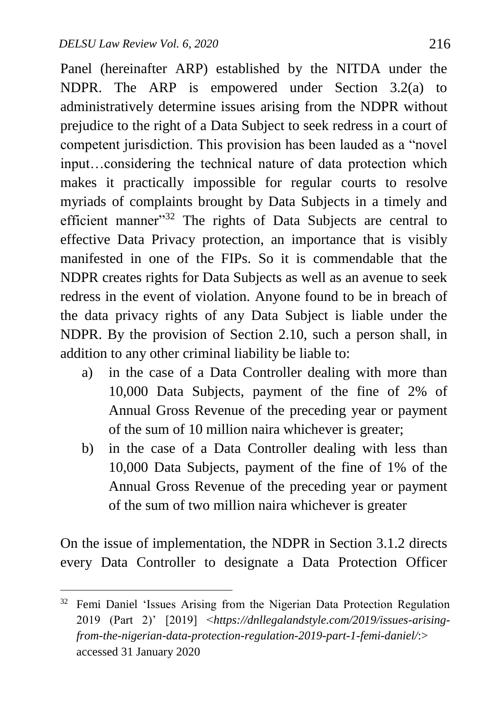$\overline{a}$ 

Panel (hereinafter ARP) established by the NITDA under the NDPR. The ARP is empowered under Section 3.2(a) to administratively determine issues arising from the NDPR without prejudice to the right of a Data Subject to seek redress in a court of competent jurisdiction. This provision has been lauded as a "novel input…considering the technical nature of data protection which makes it practically impossible for regular courts to resolve myriads of complaints brought by Data Subjects in a timely and efficient manner"<sup>32</sup> The rights of Data Subjects are central to effective Data Privacy protection, an importance that is visibly manifested in one of the FIPs. So it is commendable that the NDPR creates rights for Data Subjects as well as an avenue to seek redress in the event of violation. Anyone found to be in breach of the data privacy rights of any Data Subject is liable under the NDPR. By the provision of Section 2.10, such a person shall, in addition to any other criminal liability be liable to:

- a) in the case of a Data Controller dealing with more than 10,000 Data Subjects, payment of the fine of 2% of Annual Gross Revenue of the preceding year or payment of the sum of 10 million naira whichever is greater;
- b) in the case of a Data Controller dealing with less than 10,000 Data Subjects, payment of the fine of 1% of the Annual Gross Revenue of the preceding year or payment of the sum of two million naira whichever is greater

On the issue of implementation, the NDPR in Section 3.1.2 directs every Data Controller to designate a Data Protection Officer

<sup>&</sup>lt;sup>32</sup> Femi Daniel 'Issues Arising from the Nigerian Data Protection Regulation 2019 (Part 2)' [2019] <*https://dnllegalandstyle.com/2019/issues-arisingfrom-the-nigerian-data-protection-regulation-2019-part-1-femi-daniel/*:> accessed 31 January 2020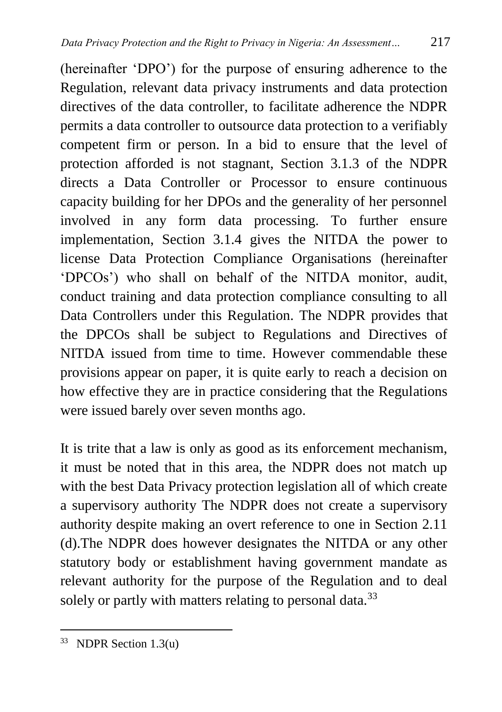(hereinafter 'DPO') for the purpose of ensuring adherence to the Regulation, relevant data privacy instruments and data protection directives of the data controller, to facilitate adherence the NDPR permits a data controller to outsource data protection to a verifiably competent firm or person. In a bid to ensure that the level of protection afforded is not stagnant, Section 3.1.3 of the NDPR directs a Data Controller or Processor to ensure continuous capacity building for her DPOs and the generality of her personnel involved in any form data processing. To further ensure implementation, Section 3.1.4 gives the NITDA the power to license Data Protection Compliance Organisations (hereinafter 'DPCOs') who shall on behalf of the NITDA monitor, audit, conduct training and data protection compliance consulting to all Data Controllers under this Regulation. The NDPR provides that the DPCOs shall be subject to Regulations and Directives of NITDA issued from time to time. However commendable these provisions appear on paper, it is quite early to reach a decision on how effective they are in practice considering that the Regulations were issued barely over seven months ago.

It is trite that a law is only as good as its enforcement mechanism, it must be noted that in this area, the NDPR does not match up with the best Data Privacy protection legislation all of which create a supervisory authority The NDPR does not create a supervisory authority despite making an overt reference to one in Section 2.11 (d).The NDPR does however designates the NITDA or any other statutory body or establishment having government mandate as relevant authority for the purpose of the Regulation and to deal solely or partly with matters relating to personal data.<sup>33</sup>

<sup>33</sup> NDPR Section 1.3(u)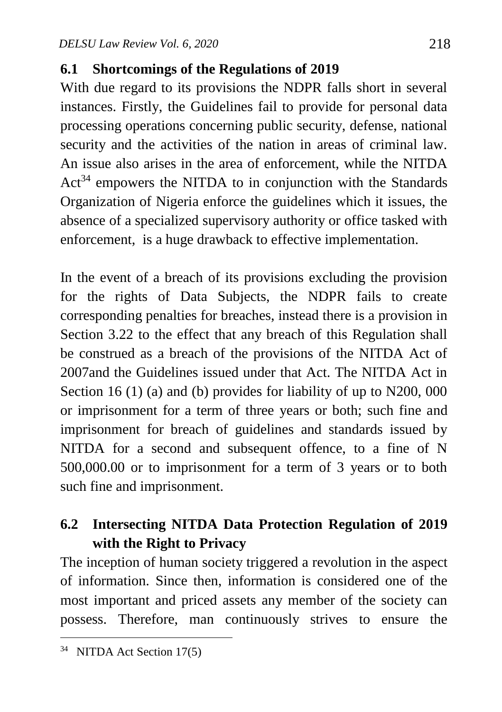#### **6.1 Shortcomings of the Regulations of 2019**

With due regard to its provisions the NDPR falls short in several instances. Firstly, the Guidelines fail to provide for personal data processing operations concerning public security, defense, national security and the activities of the nation in areas of criminal law. An issue also arises in the area of enforcement, while the NITDA  $Act<sup>34</sup>$  empowers the NITDA to in conjunction with the Standards Organization of Nigeria enforce the guidelines which it issues, the absence of a specialized supervisory authority or office tasked with enforcement, is a huge drawback to effective implementation.

In the event of a breach of its provisions excluding the provision for the rights of Data Subjects, the NDPR fails to create corresponding penalties for breaches, instead there is a provision in Section 3.22 to the effect that any breach of this Regulation shall be construed as a breach of the provisions of the NITDA Act of 2007and the Guidelines issued under that Act. The NITDA Act in Section 16 (1) (a) and (b) provides for liability of up to N200, 000 or imprisonment for a term of three years or both; such fine and imprisonment for breach of guidelines and standards issued by NITDA for a second and subsequent offence, to a fine of N 500,000.00 or to imprisonment for a term of 3 years or to both such fine and imprisonment.

## **6.2 Intersecting NITDA Data Protection Regulation of 2019 with the Right to Privacy**

The inception of human society triggered a revolution in the aspect of information. Since then, information is considered one of the most important and priced assets any member of the society can possess. Therefore, man continuously strives to ensure the

<sup>34</sup> NITDA Act Section 17(5)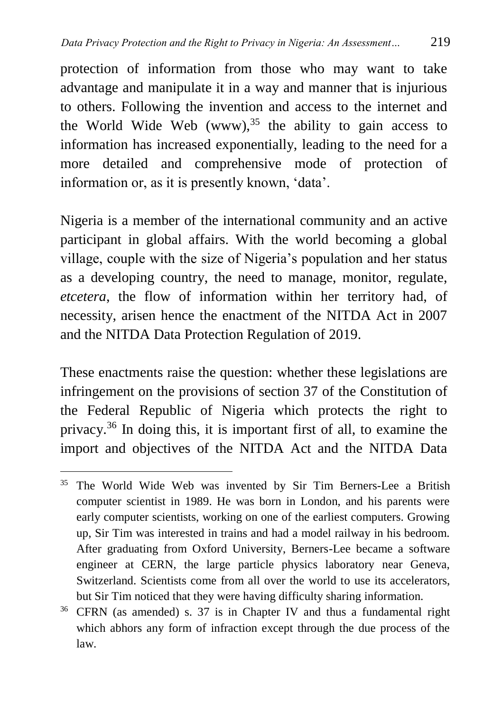protection of information from those who may want to take advantage and manipulate it in a way and manner that is injurious to others. Following the invention and access to the internet and the World Wide Web  $(www)$ , <sup>35</sup> the ability to gain access to information has increased exponentially, leading to the need for a more detailed and comprehensive mode of protection of information or, as it is presently known, 'data'.

Nigeria is a member of the international community and an active participant in global affairs. With the world becoming a global village, couple with the size of Nigeria's population and her status as a developing country, the need to manage, monitor, regulate, *etcetera*, the flow of information within her territory had, of necessity, arisen hence the enactment of the NITDA Act in 2007 and the NITDA Data Protection Regulation of 2019.

These enactments raise the question: whether these legislations are infringement on the provisions of section 37 of the Constitution of the Federal Republic of Nigeria which protects the right to privacy.<sup>36</sup> In doing this, it is important first of all, to examine the import and objectives of the NITDA Act and the NITDA Data

<sup>&</sup>lt;sup>35</sup> The World Wide Web was invented by Sir Tim Berners-Lee a British computer scientist in 1989. He was born in London, and his parents were early computer scientists, working on one of the earliest computers. Growing up, Sir Tim was interested in trains and had a model railway in his bedroom. After graduating from Oxford University, Berners-Lee became a software engineer at CERN, the large particle physics laboratory near Geneva, Switzerland. Scientists come from all over the world to use its accelerators, but Sir Tim noticed that they were having difficulty sharing information.

<sup>36</sup> CFRN (as amended) s. 37 is in Chapter IV and thus a fundamental right which abhors any form of infraction except through the due process of the law.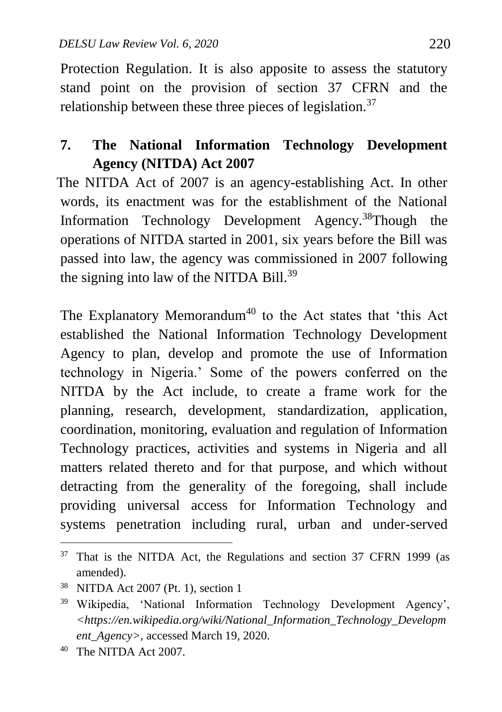Protection Regulation. It is also apposite to assess the statutory stand point on the provision of section 37 CFRN and the relationship between these three pieces of legislation.<sup>37</sup>

## **7. The National Information Technology Development Agency (NITDA) Act 2007**

 The NITDA Act of 2007 is an agency-establishing Act. In other words, its enactment was for the establishment of the National Information Technology Development Agency.<sup>38</sup>Though the operations of NITDA started in 2001, six years before the Bill was passed into law, the agency was commissioned in 2007 following the signing into law of the NITDA Bill.<sup>39</sup>

The Explanatory Memorandum<sup>40</sup> to the Act states that 'this Act established the National Information Technology Development Agency to plan, develop and promote the use of Information technology in Nigeria.' Some of the powers conferred on the NITDA by the Act include, to create a frame work for the planning, research, development, standardization, application, coordination, monitoring, evaluation and regulation of Information Technology practices, activities and systems in Nigeria and all matters related thereto and for that purpose, and which without detracting from the generality of the foregoing, shall include providing universal access for Information Technology and systems penetration including rural, urban and under-served

 $37$  That is the NITDA Act, the Regulations and section 37 CFRN 1999 (as amended).

<sup>38</sup> NITDA Act 2007 (Pt. 1), section 1

<sup>39</sup> Wikipedia, 'National Information Technology Development Agency', *<https://en.wikipedia.org/wiki/National\_Information\_Technology\_Developm ent\_Agency>*, accessed March 19, 2020.

<sup>40</sup> The NITDA Act 2007.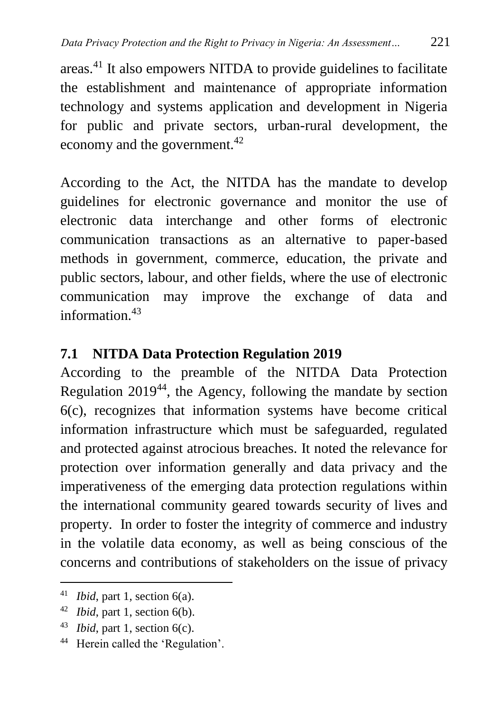areas.<sup>41</sup> It also empowers NITDA to provide guidelines to facilitate the establishment and maintenance of appropriate information technology and systems application and development in Nigeria for public and private sectors, urban-rural development, the economy and the government.<sup>42</sup>

According to the Act, the NITDA has the mandate to develop guidelines for electronic governance and monitor the use of electronic data interchange and other forms of electronic communication transactions as an alternative to paper-based methods in government, commerce, education, the private and public sectors, labour, and other fields, where the use of electronic communication may improve the exchange of data and information  $43$ 

#### **7.1 NITDA Data Protection Regulation 2019**

 According to the preamble of the NITDA Data Protection Regulation  $2019^{44}$ , the Agency, following the mandate by section 6(c), recognizes that information systems have become critical information infrastructure which must be safeguarded, regulated and protected against atrocious breaches. It noted the relevance for protection over information generally and data privacy and the imperativeness of the emerging data protection regulations within the international community geared towards security of lives and property. In order to foster the integrity of commerce and industry in the volatile data economy, as well as being conscious of the concerns and contributions of stakeholders on the issue of privacy

<sup>41</sup> *Ibid*, part 1, section 6(a).

<sup>42</sup> *Ibid*, part 1, section 6(b).

<sup>43</sup> *Ibid*, part 1, section 6(c).

<sup>44</sup> Herein called the 'Regulation'.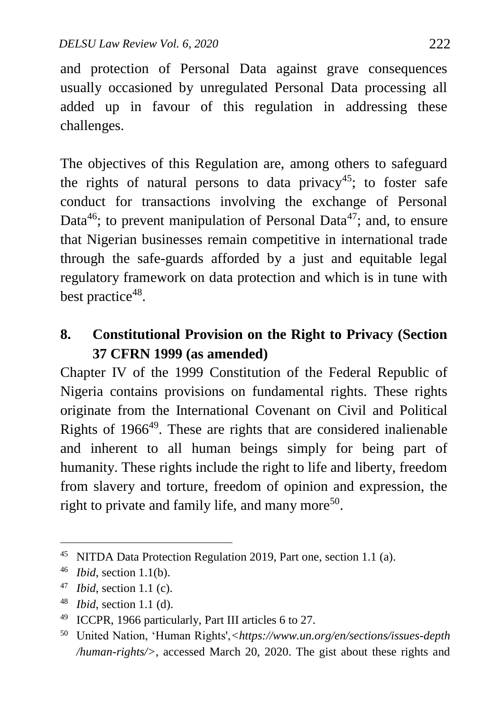and protection of Personal Data against grave consequences usually occasioned by unregulated Personal Data processing all added up in favour of this regulation in addressing these challenges.

The objectives of this Regulation are, among others to safeguard the rights of natural persons to data privacy<sup>45</sup>; to foster safe conduct for transactions involving the exchange of Personal Data<sup>46</sup>; to prevent manipulation of Personal Data<sup>47</sup>; and, to ensure that Nigerian businesses remain competitive in international trade through the safe-guards afforded by a just and equitable legal regulatory framework on data protection and which is in tune with best practice<sup>48</sup>.

#### **8. Constitutional Provision on the Right to Privacy (Section 37 CFRN 1999 (as amended)**

Chapter IV of the 1999 Constitution of the Federal Republic of Nigeria contains provisions on fundamental rights. These rights originate from the International Covenant on Civil and Political Rights of 1966<sup>49</sup>. These are rights that are considered inalienable and inherent to all human beings simply for being part of humanity. These rights include the right to life and liberty, freedom from slavery and torture, freedom of opinion and expression, the right to private and family life, and many more<sup>50</sup>.

<sup>45</sup> NITDA Data Protection Regulation 2019, Part one, section 1.1 (a).

<sup>46</sup> *Ibid*, section 1.1(b).

<sup>47</sup> *Ibid*, section 1.1 (c).

<sup>48</sup> *Ibid*, section 1.1 (d).

<sup>49</sup> ICCPR, 1966 particularly, Part III articles 6 to 27.

<sup>50</sup> United Nation, 'Human Rights',*<https://www.un.org/en/sections/issues-depth /human-rights/>*, accessed March 20, 2020. The gist about these rights and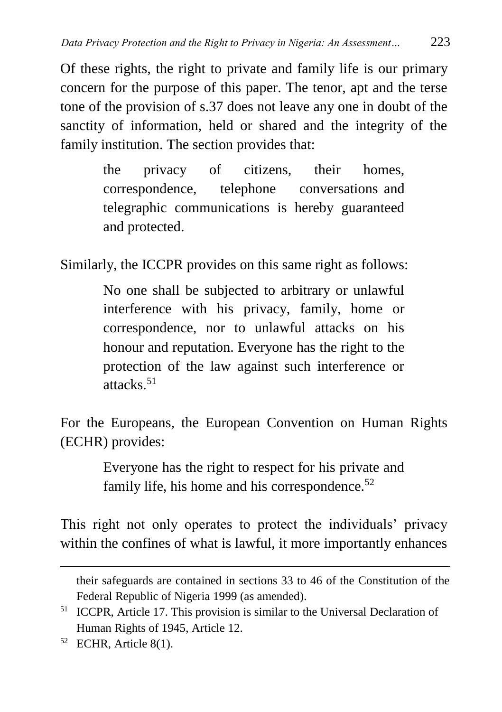Of these rights, the right to private and family life is our primary concern for the purpose of this paper. The tenor, apt and the terse tone of the provision of s.37 does not leave any one in doubt of the sanctity of information, held or shared and the integrity of the family institution. The section provides that:

> the privacy of citizens, their homes, correspondence, telephone conversations and telegraphic communications is hereby guaranteed and protected.

Similarly, the ICCPR provides on this same right as follows:

No one shall be subjected to arbitrary or unlawful interference with his privacy, family, home or correspondence, nor to unlawful attacks on his honour and reputation. Everyone has the right to the protection of the law against such interference or attacks. 51

For the Europeans, the European Convention on Human Rights (ECHR) provides:

> Everyone has the right to respect for his private and family life, his home and his correspondence. $52$

This right not only operates to protect the individuals' privacy within the confines of what is lawful, it more importantly enhances

their safeguards are contained in sections 33 to 46 of the Constitution of the Federal Republic of Nigeria 1999 (as amended).

<sup>51</sup> ICCPR, Article 17. This provision is similar to the Universal Declaration of Human Rights of 1945, Article 12.

<sup>52</sup> ECHR, Article 8(1).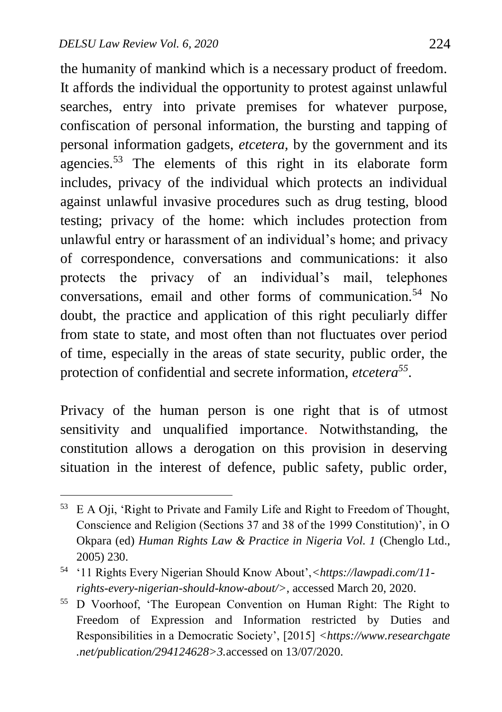the humanity of mankind which is a necessary product of freedom. It affords the individual the opportunity to protest against unlawful searches, entry into private premises for whatever purpose, confiscation of personal information, the bursting and tapping of personal information gadgets, *etcetera,* by the government and its agencies.<sup>53</sup> The elements of this right in its elaborate form includes, privacy of the individual which protects an individual against unlawful invasive procedures such as drug testing, blood testing; privacy of the home: which includes protection from unlawful entry or harassment of an individual's home; and privacy of correspondence, conversations and communications: it also protects the privacy of an individual's mail, telephones conversations, email and other forms of communication.<sup>54</sup> No doubt, the practice and application of this right peculiarly differ from state to state, and most often than not fluctuates over period of time, especially in the areas of state security, public order, the protection of confidential and secrete information, *etcetera<sup>55</sup>* .

Privacy of the human person is one right that is of utmost sensitivity and unqualified importance. Notwithstanding, the constitution allows a derogation on this provision in deserving situation in the interest of defence, public safety, public order,

 $\overline{a}$ <sup>53</sup> E A Oji, 'Right to Private and Family Life and Right to Freedom of Thought, Conscience and Religion (Sections 37 and 38 of the 1999 Constitution)', in O Okpara (ed) *Human Rights Law & Practice in Nigeria Vol. 1* (Chenglo Ltd., 2005) 230.

<sup>54</sup> '11 Rights Every Nigerian Should Know About',*<https://lawpadi.com/11 rights-every-nigerian-should-know-about/>*, accessed March 20, 2020.

<sup>55</sup> D Voorhoof, 'The European Convention on Human Right: The Right to Freedom of Expression and Information restricted by Duties and Responsibilities in a Democratic Society', [2015] *<https://www.researchgate .net/publication/294124628>3.*accessed on 13/07/2020.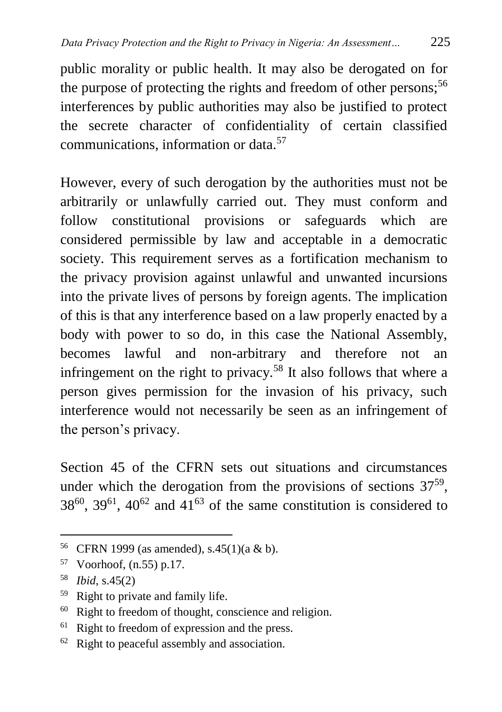public morality or public health. It may also be derogated on for the purpose of protecting the rights and freedom of other persons;<sup>56</sup> interferences by public authorities may also be justified to protect the secrete character of confidentiality of certain classified communications, information or data.<sup>57</sup>

However, every of such derogation by the authorities must not be arbitrarily or unlawfully carried out. They must conform and follow constitutional provisions or safeguards which are considered permissible by law and acceptable in a democratic society. This requirement serves as a fortification mechanism to the privacy provision against unlawful and unwanted incursions into the private lives of persons by foreign agents. The implication of this is that any interference based on a law properly enacted by a body with power to so do, in this case the National Assembly, becomes lawful and non-arbitrary and therefore not an infringement on the right to privacy.<sup>58</sup> It also follows that where a person gives permission for the invasion of his privacy, such interference would not necessarily be seen as an infringement of the person's privacy.

Section 45 of the CFRN sets out situations and circumstances under which the derogation from the provisions of sections  $37^{59}$ ,  $38^{60}$ ,  $39^{61}$ ,  $40^{62}$  and  $41^{63}$  of the same constitution is considered to

<sup>56</sup> CFRN 1999 (as amended), s.45(1)(a & b).

<sup>57</sup> Voorhoof, (n.55) p.17.

<sup>58</sup> *Ibid*, s.45(2)

<sup>59</sup> Right to private and family life.

<sup>60</sup> Right to freedom of thought, conscience and religion.

<sup>&</sup>lt;sup>61</sup> Right to freedom of expression and the press.

 $62$  Right to peaceful assembly and association.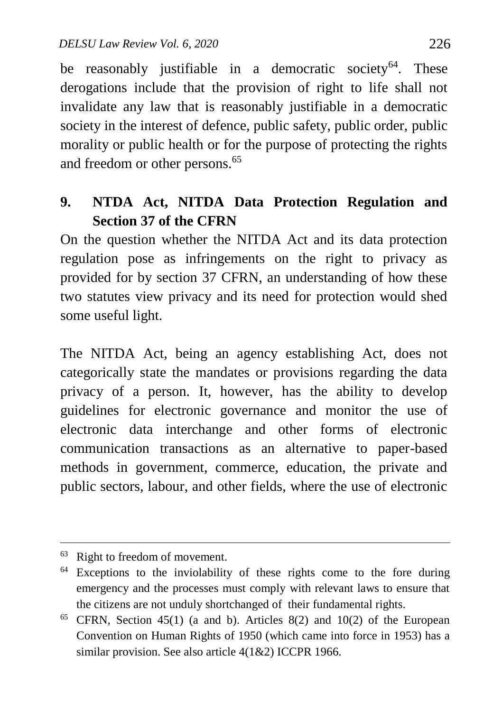be reasonably justifiable in a democratic society<sup>64</sup>. These derogations include that the provision of right to life shall not invalidate any law that is reasonably justifiable in a democratic society in the interest of defence, public safety, public order, public morality or public health or for the purpose of protecting the rights and freedom or other persons.<sup>65</sup>

#### **9. NTDA Act, NITDA Data Protection Regulation and Section 37 of the CFRN**

On the question whether the NITDA Act and its data protection regulation pose as infringements on the right to privacy as provided for by section 37 CFRN, an understanding of how these two statutes view privacy and its need for protection would shed some useful light.

The NITDA Act, being an agency establishing Act, does not categorically state the mandates or provisions regarding the data privacy of a person. It, however, has the ability to develop guidelines for electronic governance and monitor the use of electronic data interchange and other forms of electronic communication transactions as an alternative to paper-based methods in government, commerce, education, the private and public sectors, labour, and other fields, where the use of electronic

<sup>63</sup> Right to freedom of movement.

<sup>&</sup>lt;sup>64</sup> Exceptions to the inviolability of these rights come to the fore during emergency and the processes must comply with relevant laws to ensure that the citizens are not unduly shortchanged of their fundamental rights.

 $65$  CFRN, Section 45(1) (a and b). Articles 8(2) and 10(2) of the European Convention on Human Rights of 1950 (which came into force in 1953) has a similar provision. See also article 4(1&2) ICCPR 1966.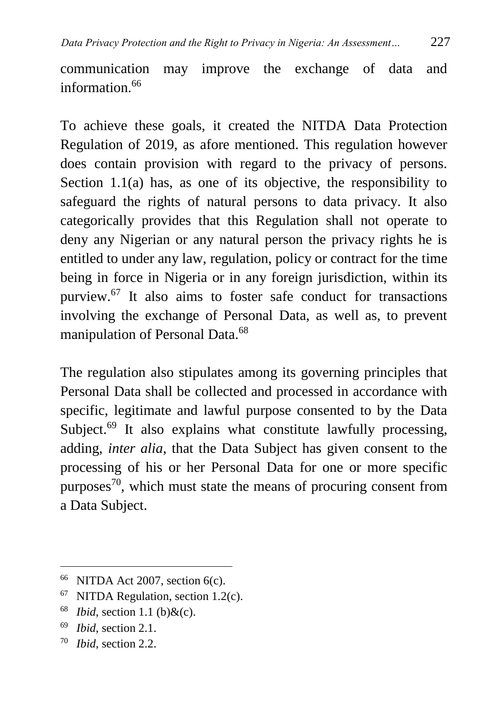communication may improve the exchange of data and information.<sup>66</sup>

To achieve these goals, it created the NITDA Data Protection Regulation of 2019, as afore mentioned. This regulation however does contain provision with regard to the privacy of persons. Section 1.1(a) has, as one of its objective, the responsibility to safeguard the rights of natural persons to data privacy. It also categorically provides that this Regulation shall not operate to deny any Nigerian or any natural person the privacy rights he is entitled to under any law, regulation, policy or contract for the time being in force in Nigeria or in any foreign jurisdiction, within its purview.<sup>67</sup> It also aims to foster safe conduct for transactions involving the exchange of Personal Data, as well as, to prevent manipulation of Personal Data.<sup>68</sup>

The regulation also stipulates among its governing principles that Personal Data shall be collected and processed in accordance with specific, legitimate and lawful purpose consented to by the Data Subject.<sup>69</sup> It also explains what constitute lawfully processing, adding, *inter alia*, that the Data Subject has given consent to the processing of his or her Personal Data for one or more specific purposes<sup>70</sup>, which must state the means of procuring consent from a Data Subject.

- $68$  *Ibid*, section 1.1 (b) & (c).
- <sup>69</sup> *Ibid*, section 2.1.

 $\overline{a}$ 

<sup>70</sup> *Ibid*, section 2.2.

 $66$  NITDA Act 2007, section 6(c).

 $67$  NITDA Regulation, section 1.2(c).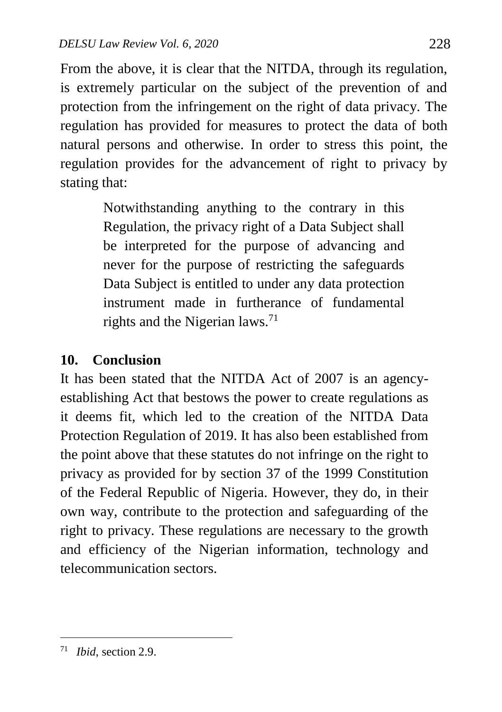From the above, it is clear that the NITDA, through its regulation, is extremely particular on the subject of the prevention of and protection from the infringement on the right of data privacy. The regulation has provided for measures to protect the data of both natural persons and otherwise. In order to stress this point, the regulation provides for the advancement of right to privacy by stating that:

> Notwithstanding anything to the contrary in this Regulation, the privacy right of a Data Subject shall be interpreted for the purpose of advancing and never for the purpose of restricting the safeguards Data Subject is entitled to under any data protection instrument made in furtherance of fundamental rights and the Nigerian laws.<sup>71</sup>

## **10. Conclusion**

It has been stated that the NITDA Act of 2007 is an agencyestablishing Act that bestows the power to create regulations as it deems fit, which led to the creation of the NITDA Data Protection Regulation of 2019. It has also been established from the point above that these statutes do not infringe on the right to privacy as provided for by section 37 of the 1999 Constitution of the Federal Republic of Nigeria. However, they do, in their own way, contribute to the protection and safeguarding of the right to privacy. These regulations are necessary to the growth and efficiency of the Nigerian information, technology and telecommunication sectors.

<sup>71</sup> *Ibid*, section 2.9.